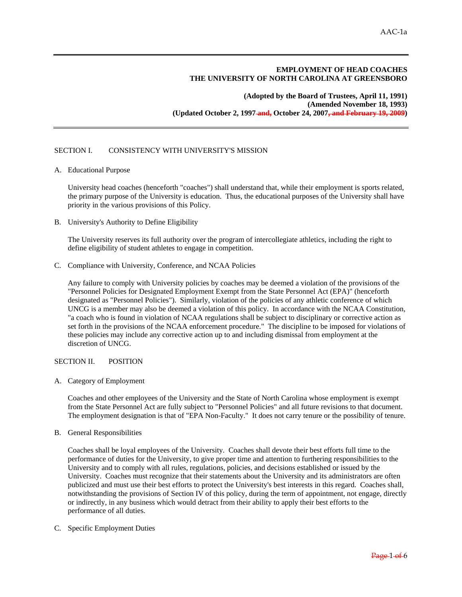# **EMPLOYMENT OF HEAD COACHES THE UNIVERSITY OF NORTH CAROLINA AT GREENSBORO**

**(Adopted by the Board of Trustees, April 11, 1991) (Amended November 18, 1993) (Updated October 2, 1997 and, October 24, 2007, and February 19, 2009)** 

# SECTION I. CONSISTENCY WITH UNIVERSITY'S MISSION

A. Educational Purpose

University head coaches (henceforth "coaches") shall understand that, while their employment is sports related, the primary purpose of the University is education. Thus, the educational purposes of the University shall have priority in the various provisions of this Policy.

B. University's Authority to Define Eligibility

The University reserves its full authority over the program of intercollegiate athletics, including the right to define eligibility of student athletes to engage in competition.

C. Compliance with University, Conference, and NCAA Policies

Any failure to comply with University policies by coaches may be deemed a violation of the provisions of the "Personnel Policies for Designated Employment Exempt from the State Personnel Act (EPA)" (henceforth designated as "Personnel Policies"). Similarly, violation of the policies of any athletic conference of which UNCG is a member may also be deemed a violation of this policy. In accordance with the NCAA Constitution, "a coach who is found in violation of NCAA regulations shall be subject to disciplinary or corrective action as set forth in the provisions of the NCAA enforcement procedure." The discipline to be imposed for violations of these policies may include any corrective action up to and including dismissal from employment at the discretion of UNCG.

## SECTION II. POSITION

A. Category of Employment

 Coaches and other employees of the University and the State of North Carolina whose employment is exempt from the State Personnel Act are fully subject to "Personnel Policies" and all future revisions to that document. The employment designation is that of "EPA Non-Faculty." It does not carry tenure or the possibility of tenure.

B. General Responsibilities

 Coaches shall be loyal employees of the University. Coaches shall devote their best efforts full time to the performance of duties for the University, to give proper time and attention to furthering responsibilities to the University and to comply with all rules, regulations, policies, and decisions established or issued by the University. Coaches must recognize that their statements about the University and its administrators are often publicized and must use their best efforts to protect the University's best interests in this regard. Coaches shall, notwithstanding the provisions of Section IV of this policy, during the term of appointment, not engage, directly or indirectly, in any business which would detract from their ability to apply their best efforts to the performance of all duties.

C. Specific Employment Duties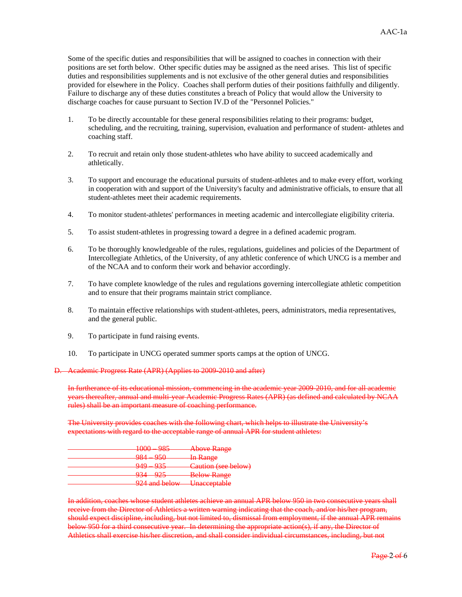Some of the specific duties and responsibilities that will be assigned to coaches in connection with their positions are set forth below. Other specific duties may be assigned as the need arises. This list of specific duties and responsibilities supplements and is not exclusive of the other general duties and responsibilities provided for elsewhere in the Policy. Coaches shall perform duties of their positions faithfully and diligently. Failure to discharge any of these duties constitutes a breach of Policy that would allow the University to discharge coaches for cause pursuant to Section IV.D of the "Personnel Policies."

- 1. To be directly accountable for these general responsibilities relating to their programs: budget, scheduling, and the recruiting, training, supervision, evaluation and performance of student- athletes and coaching staff.
- 2. To recruit and retain only those student-athletes who have ability to succeed academically and athletically.
- 3. To support and encourage the educational pursuits of student-athletes and to make every effort, working in cooperation with and support of the University's faculty and administrative officials, to ensure that all student-athletes meet their academic requirements.
- 4. To monitor student-athletes' performances in meeting academic and intercollegiate eligibility criteria.
- 5. To assist student-athletes in progressing toward a degree in a defined academic program.
- 6. To be thoroughly knowledgeable of the rules, regulations, guidelines and policies of the Department of Intercollegiate Athletics, of the University, of any athletic conference of which UNCG is a member and of the NCAA and to conform their work and behavior accordingly.
- 7. To have complete knowledge of the rules and regulations governing intercollegiate athletic competition and to ensure that their programs maintain strict compliance.
- 8. To maintain effective relationships with student-athletes, peers, administrators, media representatives, and the general public.
- 9. To participate in fund raising events.
- 10. To participate in UNCG operated summer sports camps at the option of UNCG.

Academic Progress Rate (APR) (Applies to 2009-2010 and after)

In furtherance of its educational mission, commencing in the academic year 2009-2010, and for all academic years thereafter, annual and multi-year Academic Progress Rates (APR) (as defined and calculated by NCAA rules) shall be an important measure of coaching performance.

The University provides coaches with the following chart, which helps to illustrate the University's expectations with regard to the acceptable range of annual APR for student athletes:

| 1 ሰሰሰ<br>$\Omega$<br><b>JEW WARD</b><br>プロン                  | <b>Above Range</b>                           |
|--------------------------------------------------------------|----------------------------------------------|
| $\Omega$<br>റടറ<br>プジロ<br>$20 - 1$                           | <del>In Range</del>                          |
| 040.025<br>フココ                                               | $C$ ution (see helow)<br>Caution (SCC DCIOW) |
| റാട<br>$\Omega$ 24<br>ノマー<br>$\overline{\phantom{a}}$        | <b>Below Range</b>                           |
| 074 and halow Ingocantable<br><b>A A REPORT OF A RAILWAY</b> | <del>Unacceptaore</del>                      |

In addition, coaches whose student athletes achieve an annual APR below 950 in two consecutive years shall receive from the Director of Athletics a written warning indicating that the coach, and/or his/her program, should expect discipline, including, but not limited to, dismissal from employment, if the annual APR remains below 950 for a third consecutive year. In determining the appropriate action(s), if any, the Director of Athletics shall exercise his/her discretion, and shall consider individual circumstances, including, but not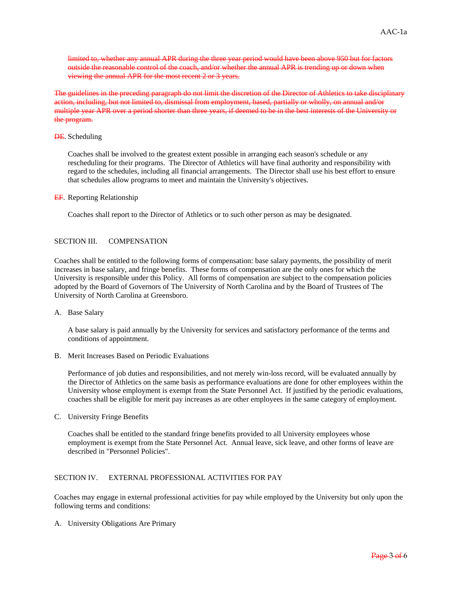limited to, whether any annual APR during the three year period would have been above 950 but for factors outside the reasonable control of the coach, and/or whether the annual APR is trending up or down when viewing the annual APR for the most recent 2 or 3 years.

The guidelines in the preceding paragraph do not limit the discretion of the Director of Athletics to take disciplinary action, including, but not limited to, dismissal from employment, based, partially or wholly, on annual and/or multiple year APR over a period shorter than three years, if deemed to be in the best interests of the University or the program.

#### **DE.** Scheduling

 Coaches shall be involved to the greatest extent possible in arranging each season's schedule or any rescheduling for their programs. The Director of Athletics will have final authority and responsibility with regard to the schedules, including all financial arrangements. The Director shall use his best effort to ensure that schedules allow programs to meet and maintain the University's objectives.

#### EF. Reporting Relationship

Coaches shall report to the Director of Athletics or to such other person as may be designated.

### SECTION III. COMPENSATION

Coaches shall be entitled to the following forms of compensation: base salary payments, the possibility of merit increases in base salary, and fringe benefits. These forms of compensation are the only ones for which the University is responsible under this Policy. All forms of compensation are subject to the compensation policies adopted by the Board of Governors of The University of North Carolina and by the Board of Trustees of The University of North Carolina at Greensboro.

### A. Base Salary

 A base salary is paid annually by the University for services and satisfactory performance of the terms and conditions of appointment.

B. Merit Increases Based on Periodic Evaluations

 Performance of job duties and responsibilities, and not merely win-loss record, will be evaluated annually by the Director of Athletics on the same basis as performance evaluations are done for other employees within the University whose employment is exempt from the State Personnel Act. If justified by the periodic evaluations, coaches shall be eligible for merit pay increases as are other employees in the same category of employment.

C. University Fringe Benefits

 Coaches shall be entitled to the standard fringe benefits provided to all University employees whose employment is exempt from the State Personnel Act. Annual leave, sick leave, and other forms of leave are described in "Personnel Policies".

# SECTION IV. EXTERNAL PROFESSIONAL ACTIVITIES FOR PAY

Coaches may engage in external professional activities for pay while employed by the University but only upon the following terms and conditions:

A. University Obligations Are Primary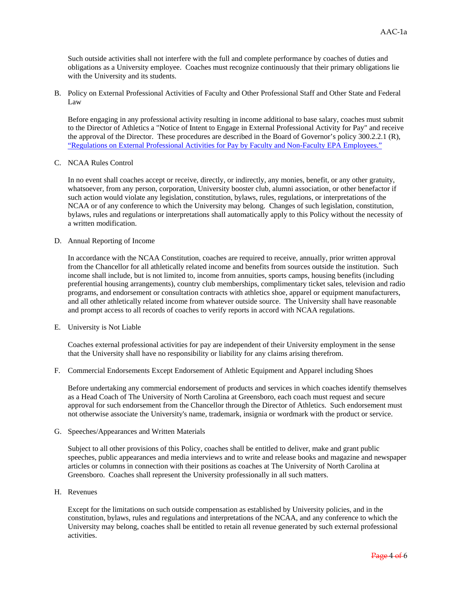Such outside activities shall not interfere with the full and complete performance by coaches of duties and obligations as a University employee. Coaches must recognize continuously that their primary obligations lie with the University and its students.

B. Policy on External Professional Activities of Faculty and Other Professional Staff and Other State and Federal Law

 Before engaging in any professional activity resulting in income additional to base salary, coaches must submit to the Director of Athletics a "Notice of Intent to Engage in External Professional Activity for Pay" and receive the approval of the Director. These procedures are described in the Board of Governor's policy 300.2.2.1 (R), "Regulations on External Professional Activities for Pay by Faculty and Non-Faculty EPA Employees."

### C. NCAA Rules Control

 In no event shall coaches accept or receive, directly, or indirectly, any monies, benefit, or any other gratuity, whatsoever, from any person, corporation, University booster club, alumni association, or other benefactor if such action would violate any legislation, constitution, bylaws, rules, regulations, or interpretations of the NCAA or of any conference to which the University may belong. Changes of such legislation, constitution, bylaws, rules and regulations or interpretations shall automatically apply to this Policy without the necessity of a written modification.

#### D. Annual Reporting of Income

 In accordance with the NCAA Constitution, coaches are required to receive, annually, prior written approval from the Chancellor for all athletically related income and benefits from sources outside the institution. Such income shall include, but is not limited to, income from annuities, sports camps, housing benefits (including preferential housing arrangements), country club memberships, complimentary ticket sales, television and radio programs, and endorsement or consultation contracts with athletics shoe, apparel or equipment manufacturers, and all other athletically related income from whatever outside source. The University shall have reasonable and prompt access to all records of coaches to verify reports in accord with NCAA regulations.

E. University is Not Liable

 Coaches external professional activities for pay are independent of their University employment in the sense that the University shall have no responsibility or liability for any claims arising therefrom.

F. Commercial Endorsements Except Endorsement of Athletic Equipment and Apparel including Shoes

 Before undertaking any commercial endorsement of products and services in which coaches identify themselves as a Head Coach of The University of North Carolina at Greensboro, each coach must request and secure approval for such endorsement from the Chancellor through the Director of Athletics. Such endorsement must not otherwise associate the University's name, trademark, insignia or wordmark with the product or service.

G. Speeches/Appearances and Written Materials

 Subject to all other provisions of this Policy, coaches shall be entitled to deliver, make and grant public speeches, public appearances and media interviews and to write and release books and magazine and newspaper articles or columns in connection with their positions as coaches at The University of North Carolina at Greensboro. Coaches shall represent the University professionally in all such matters.

H. Revenues

 Except for the limitations on such outside compensation as established by University policies, and in the constitution, bylaws, rules and regulations and interpretations of the NCAA, and any conference to which the University may belong, coaches shall be entitled to retain all revenue generated by such external professional activities.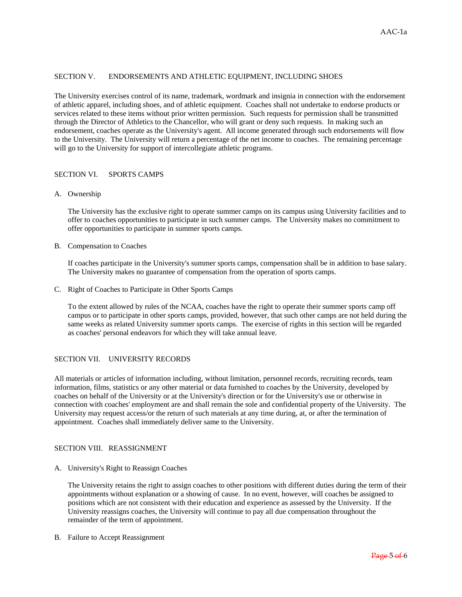# SECTION V. ENDORSEMENTS AND ATHLETIC EQUIPMENT, INCLUDING SHOES

The University exercises control of its name, trademark, wordmark and insignia in connection with the endorsement of athletic apparel, including shoes, and of athletic equipment. Coaches shall not undertake to endorse products or services related to these items without prior written permission. Such requests for permission shall be transmitted through the Director of Athletics to the Chancellor, who will grant or deny such requests. In making such an endorsement, coaches operate as the University's agent. All income generated through such endorsements will flow to the University. The University will return a percentage of the net income to coaches. The remaining percentage will go to the University for support of intercollegiate athletic programs.

### SECTION VI. SPORTS CAMPS

# A. Ownership

 The University has the exclusive right to operate summer camps on its campus using University facilities and to offer to coaches opportunities to participate in such summer camps. The University makes no commitment to offer opportunities to participate in summer sports camps.

### B. Compensation to Coaches

 If coaches participate in the University's summer sports camps, compensation shall be in addition to base salary. The University makes no guarantee of compensation from the operation of sports camps.

C. Right of Coaches to Participate in Other Sports Camps

 To the extent allowed by rules of the NCAA, coaches have the right to operate their summer sports camp off campus or to participate in other sports camps, provided, however, that such other camps are not held during the same weeks as related University summer sports camps. The exercise of rights in this section will be regarded as coaches' personal endeavors for which they will take annual leave.

# SECTION VII. UNIVERSITY RECORDS

All materials or articles of information including, without limitation, personnel records, recruiting records, team information, films, statistics or any other material or data furnished to coaches by the University, developed by coaches on behalf of the University or at the University's direction or for the University's use or otherwise in connection with coaches' employment are and shall remain the sole and confidential property of the University. The University may request access/or the return of such materials at any time during, at, or after the termination of appointment. Coaches shall immediately deliver same to the University.

# SECTION VIII. REASSIGNMENT

A. University's Right to Reassign Coaches

 The University retains the right to assign coaches to other positions with different duties during the term of their appointments without explanation or a showing of cause. In no event, however, will coaches be assigned to positions which are not consistent with their education and experience as assessed by the University. If the University reassigns coaches, the University will continue to pay all due compensation throughout the remainder of the term of appointment.

B. Failure to Accept Reassignment